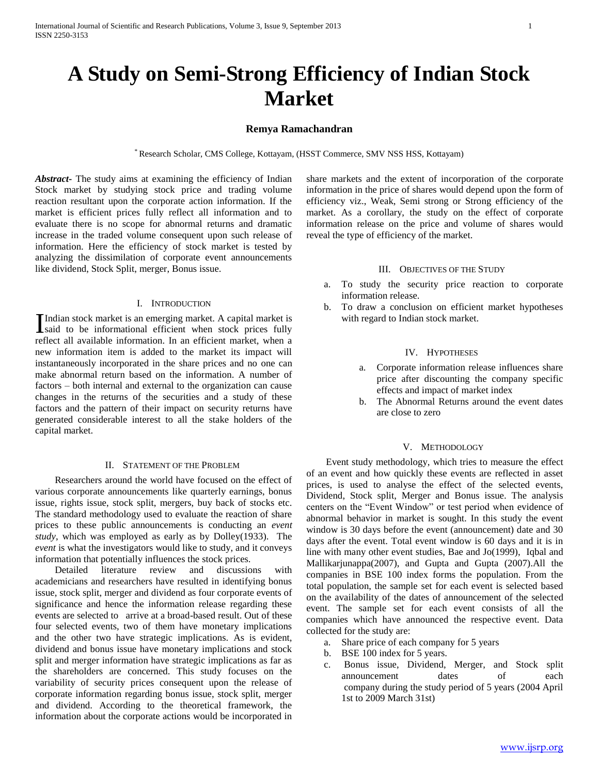# **A Study on Semi-Strong Efficiency of Indian Stock Market**

## **Remya Ramachandran**

\* Research Scholar, CMS College, Kottayam, (HSST Commerce, SMV NSS HSS, Kottayam)

*Abstract***-** The study aims at examining the efficiency of Indian Stock market by studying stock price and trading volume reaction resultant upon the corporate action information. If the market is efficient prices fully reflect all information and to evaluate there is no scope for abnormal returns and dramatic increase in the traded volume consequent upon such release of information. Here the efficiency of stock market is tested by analyzing the dissimilation of corporate event announcements like dividend, Stock Split, merger, Bonus issue.

## I. INTRODUCTION

Indian stock market is an emerging market. A capital market is Indian stock market is an emerging market. A capital market is<br>said to be informational efficient when stock prices fully reflect all available information. In an efficient market, when a new information item is added to the market its impact will instantaneously incorporated in the share prices and no one can make abnormal return based on the information. A number of factors – both internal and external to the organization can cause changes in the returns of the securities and a study of these factors and the pattern of their impact on security returns have generated considerable interest to all the stake holders of the capital market.

### II. STATEMENT OF THE PROBLEM

 Researchers around the world have focused on the effect of various corporate announcements like quarterly earnings, bonus issue, rights issue, stock split, mergers, buy back of stocks etc. The standard methodology used to evaluate the reaction of share prices to these public announcements is conducting an *event study*, which was employed as early as by Dolley(1933). The *event* is what the investigators would like to study, and it conveys information that potentially influences the stock prices.

 Detailed literature review and discussions with academicians and researchers have resulted in identifying bonus issue, stock split, merger and dividend as four corporate events of significance and hence the information release regarding these events are selected to arrive at a broad-based result. Out of these four selected events, two of them have monetary implications and the other two have strategic implications. As is evident, dividend and bonus issue have monetary implications and stock split and merger information have strategic implications as far as the shareholders are concerned. This study focuses on the variability of security prices consequent upon the release of corporate information regarding bonus issue, stock split, merger and dividend. According to the theoretical framework, the information about the corporate actions would be incorporated in

share markets and the extent of incorporation of the corporate information in the price of shares would depend upon the form of efficiency viz., Weak, Semi strong or Strong efficiency of the market. As a corollary, the study on the effect of corporate information release on the price and volume of shares would reveal the type of efficiency of the market.

# III. OBJECTIVES OF THE STUDY

- a. To study the security price reaction to corporate information release.
- b. To draw a conclusion on efficient market hypotheses with regard to Indian stock market.

### IV. HYPOTHESES

- a. Corporate information release influences share price after discounting the company specific effects and impact of market index
- b. The Abnormal Returns around the event dates are close to zero

## V. METHODOLOGY

 Event study methodology, which tries to measure the effect of an event and how quickly these events are reflected in asset prices, is used to analyse the effect of the selected events, Dividend, Stock split, Merger and Bonus issue. The analysis centers on the "Event Window" or test period when evidence of abnormal behavior in market is sought. In this study the event window is 30 days before the event (announcement) date and 30 days after the event. Total event window is 60 days and it is in line with many other event studies, Bae and Jo(1999), Iqbal and Mallikarjunappa(2007), and Gupta and Gupta (2007).All the companies in BSE 100 index forms the population. From the total population, the sample set for each event is selected based on the availability of the dates of announcement of the selected event. The sample set for each event consists of all the companies which have announced the respective event. Data collected for the study are:

- a. Share price of each company for 5 years
- b. BSE 100 index for 5 years.
- c. Bonus issue, Dividend, Merger, and Stock split announcement dates of each company during the study period of 5 years (2004 April 1st to 2009 March 31st)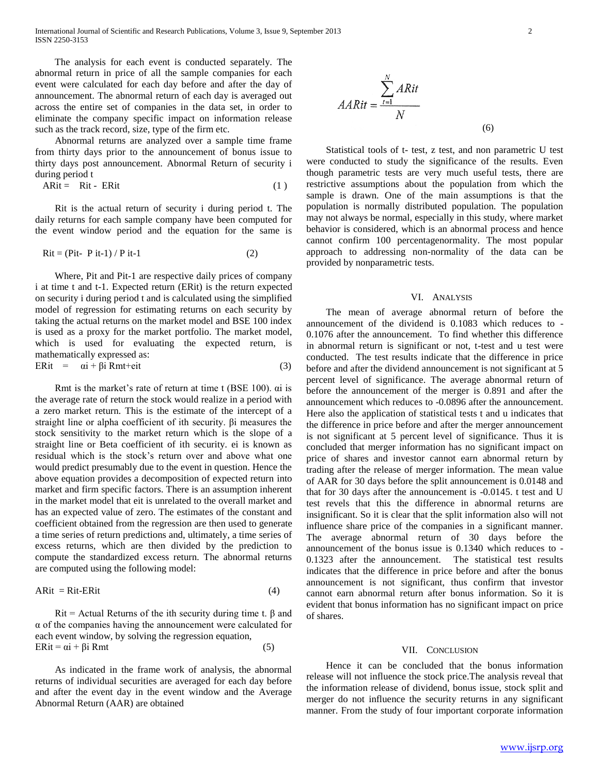The analysis for each event is conducted separately. The abnormal return in price of all the sample companies for each event were calculated for each day before and after the day of announcement. The abnormal return of each day is averaged out across the entire set of companies in the data set, in order to eliminate the company specific impact on information release such as the track record, size, type of the firm etc.

 Abnormal returns are analyzed over a sample time frame from thirty days prior to the announcement of bonus issue to thirty days post announcement. Abnormal Return of security i during period t

$$
ARit = Rit - ERit \tag{1}
$$

 Rit is the actual return of security i during period t. The daily returns for each sample company have been computed for the event window period and the equation for the same is

$$
Rit = (Pit - Pit-1) / Pit-1
$$
 (2)

 Where, Pit and Pit-1 are respective daily prices of company i at time t and t-1. Expected return (ERit) is the return expected on security i during period t and is calculated using the simplified model of regression for estimating returns on each security by taking the actual returns on the market model and BSE 100 index is used as a proxy for the market portfolio. The market model, which is used for evaluating the expected return, is mathematically expressed as: ERit =  $\alpha i + \beta i$  Rmt+eit (3)

 Rmt is the market's rate of return at time t (BSE 100). αi is the average rate of return the stock would realize in a period with a zero market return. This is the estimate of the intercept of a straight line or alpha coefficient of ith security. βi measures the stock sensitivity to the market return which is the slope of a straight line or Beta coefficient of ith security. ei is known as residual which is the stock's return over and above what one would predict presumably due to the event in question. Hence the above equation provides a decomposition of expected return into market and firm specific factors. There is an assumption inherent in the market model that eit is unrelated to the overall market and has an expected value of zero. The estimates of the constant and coefficient obtained from the regression are then used to generate a time series of return predictions and, ultimately, a time series of excess returns, which are then divided by the prediction to compute the standardized excess return. The abnormal returns are computed using the following model:

$$
ARit = Rit-ERit \tag{4}
$$

Rit = Actual Returns of the ith security during time t.  $\beta$  and α of the companies having the announcement were calculated for each event window, by solving the regression equation,  $ERit = \alpha i + \beta i Rmt$  (5)

 As indicated in the frame work of analysis, the abnormal returns of individual securities are averaged for each day before and after the event day in the event window and the Average Abnormal Return (AAR) are obtained

$$
AARit = \frac{\sum_{t=1}^{N} ARit}{N}
$$
\n(6)

 Statistical tools of t- test, z test, and non parametric U test were conducted to study the significance of the results. Even though parametric tests are very much useful tests, there are restrictive assumptions about the population from which the sample is drawn. One of the main assumptions is that the population is normally distributed population. The population may not always be normal, especially in this study, where market behavior is considered, which is an abnormal process and hence cannot confirm 100 percentagenormality. The most popular approach to addressing non-normality of the data can be provided by nonparametric tests.

#### VI. ANALYSIS

 The mean of average abnormal return of before the announcement of the dividend is 0.1083 which reduces to - 0.1076 after the announcement. To find whether this difference in abnormal return is significant or not, t-test and u test were conducted. The test results indicate that the difference in price before and after the dividend announcement is not significant at 5 percent level of significance. The average abnormal return of before the announcement of the merger is 0.891 and after the announcement which reduces to -0.0896 after the announcement. Here also the application of statistical tests t and u indicates that the difference in price before and after the merger announcement is not significant at 5 percent level of significance. Thus it is concluded that merger information has no significant impact on price of shares and investor cannot earn abnormal return by trading after the release of merger information. The mean value of AAR for 30 days before the split announcement is 0.0148 and that for 30 days after the announcement is -0.0145. t test and U test revels that this the difference in abnormal returns are insignificant. So it is clear that the split information also will not influence share price of the companies in a significant manner. The average abnormal return of 30 days before the announcement of the bonus issue is 0.1340 which reduces to - 0.1323 after the announcement. The statistical test results indicates that the difference in price before and after the bonus announcement is not significant, thus confirm that investor cannot earn abnormal return after bonus information. So it is evident that bonus information has no significant impact on price of shares.

#### VII. CONCLUSION

 Hence it can be concluded that the bonus information release will not influence the stock price.The analysis reveal that the information release of dividend, bonus issue, stock split and merger do not influence the security returns in any significant manner. From the study of four important corporate information